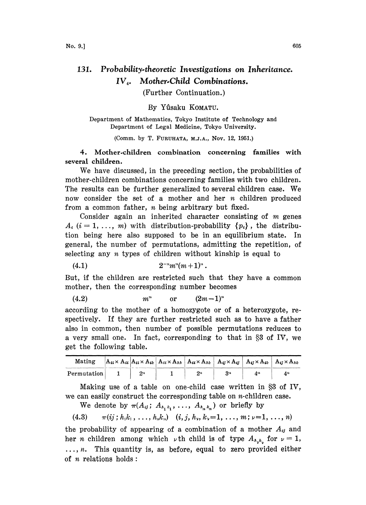## 131. Probability-theoretic Investigations on Inheritance. IV<sub>4</sub>. Mother-Child Combinations.

(Further Continuation.)

## By Yûsaku KOMATU.

Department of Mathematics, Tokyo Institute of Technology and Department of Legal Medicine, Tokyo University.

(Comm. by T. FURUHATA, M.J.A., Nov. 12, 1951.)

4. Mother.children combination concerning families with several children.

We have discussed, in the preceding section, the probabilities of mother-children combinations concerning families with two children. The results can be further generalized to several children case. We now consider the set of a mother and her  $n$  children produced trom a common father, n being arbitrary but fixed.

Consider again an inherited character consisting of  $m$  genes  $A_i$  (i = 1, ..., m) with distribution-probability  $\{p_i\}$ , the distribution being here also supposed to be in an equilibrium state. In general, the number of permutations, admitting the repetition, of selecting any  $n$  types of children without kinship is equal to

$$
(4.1) \t\t 2^{-n} m^{n} (m+1)^{n}.
$$

But, if the children are restricted such that they have a common mother, then the corresponding number becomes

(4.2)  $m^n$  or  $(2m-1)^n$ 

according to the mother of a homozygote or of a heterozygote, respectively. If they are further restricted such as to have a father also in common, then number of possible permutations reduces to a very small one. In fact, corresponding to that in  $\S 3$  of IV, we get the following table.

| Mating      |       |    |     |                             |
|-------------|-------|----|-----|-----------------------------|
| Permutation | $2^n$ | つぃ | 371 | $\mathbf{A}^{\prime\prime}$ |

Making use of a table on one-child case written in  $\S 3$  of IV, we can easily construct the corresponding table on n-children case.

We denote by  $\pi(A_{ij}; A_{h_1 k_1}, \ldots, A_{h_n k_n})$  or briefly by

(4.3)  $\pi(i; h_1, \ldots, h_n, k_n)$  (i, j,  $h_y, k_y = 1, \ldots, m; \nu = 1, \ldots, n$ )

the probability of appearing of a combination of a mother  $A_{ij}$  and her *n* children among which  $\nu$  th child is of type  $A_{\lambda_{\nu}}$  for  $\nu = 1$ ,  $\ldots$ , *n*. This quantity is, as before, equal to zero provided either of  $n$  relations holds: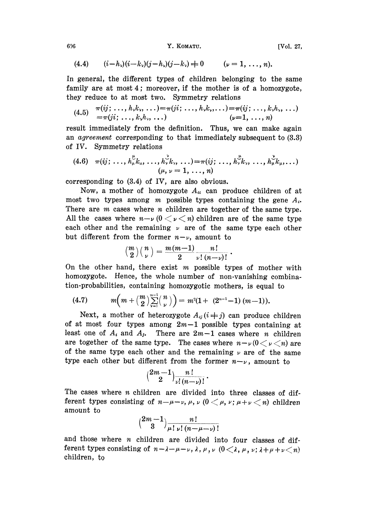606 **Y. KOMATU.** [Vol. 27,

(4.4) 
$$
(i - h_{\nu})(i - k_{\nu})(j - h_{\nu})(j - k_{\nu}) \neq 0 \qquad (\nu = 1, ..., n).
$$

In general, the different types of children belonging to the same family are at most 4; moreover, if the mother is of a homozygote, they reduce to at most two. Symmetry relations

$$
(4.5) \quad \pi(ij; \ldots, h_{\nu}k_{\nu}, \ldots) = \pi(ji; \ldots, h_{\nu}k_{\nu}, \ldots) = \pi(ij; \ldots, k_{\nu}h_{\nu}, \ldots) = \pi(ji; \ldots, k_{\nu}h_{\nu}, \ldots) (\nu=1, \ldots, n)
$$

result immediately from the definition. Thus, we can make again an agreement corresponding to that immediately subsequent to (3.3) of IV. Symmetry relations

$$
(4.6) \quad \pi(ij; \ldots, h_{\mu}^{\mu}k_{\mu}, \ldots, h_{\nu}^{\nu}k_{\nu}, \ldots) = \pi(ij; \ldots, h_{\nu}^{\mu}k_{\nu}, \ldots, h_{\mu}^{\nu}k_{\mu}, \ldots) \n(\mu, \nu = 1, \ldots, n)
$$

corresponding to (3.4) of IV, are also obvious.

Now, a mother of homozygote  $A_{ii}$  can produce children of at most two types among m possible types containing the gene  $A_i$ . There are  $m$  cases where  $n$  children are together of the same type. All the cases where  $n-\nu$  ( $0<\nu< n$ ) children are of the same type each other and the remaining  $\nu$  are of the same type each other but different from the former  $n-\nu$ , amount to

$$
\binom{m}{2}\binom{n}{\nu}=\frac{m(m-1)}{2}\frac{n!}{\nu!\left(n-\nu\right)!}.
$$

On the other hand, there exist  $m$  possible types of mother with homozygote. Hence, the whole number of non-vanishing combination-probabilities, containing homozygotic mothers, is equal to

(4.7) 
$$
m\left(m + \binom{m}{2} \sum_{\nu=1}^{n-1} \binom{n}{\nu}\right) = m^2(1 + (2^{n-1}-1)(m-1)).
$$

Next, a mother of heterozygote  $A_{ij}$  ( $i \neq j$ ) can produce children of at most four types among  $2m-1$  possible types containing at least one of  $A_i$  and  $A_j$ . There are  $2m-1$  cases where n children are together of the same type. The cases where  $n-\nu(0 < \nu < n)$  are of the same type each other and the remaining  $\nu$  are of the same type each other but different from the former  $n-\nu$ , amount to

$$
\Big(\frac{2m-1}{2}\Big) \frac{n!}{\nu!\,(n-\nu)!}
$$

The cases where *n* children are divided into three classes of different types consisting of  $n-\mu-\nu$ ,  $\mu$ ,  $\nu$  ( $0<\mu$ ,  $\nu$ ;  $\mu+\nu< n$ ) children amount to amount to

$$
\binom{2m-1}{3}\frac{n!}{\mu!\,\nu!\,\left(n-\mu-\nu\right)!}
$$

and those where  $n$  children are divided into four classes of different types consisting of  $n-\lambda-\mu-\nu$ ,  $\lambda$ ,  $\mu$ ,  $\nu$  ( $0<\lambda$ ,  $\mu$ ,  $\nu$ ;  $\lambda+\mu+\nu$   $\langle n \rangle$  children, to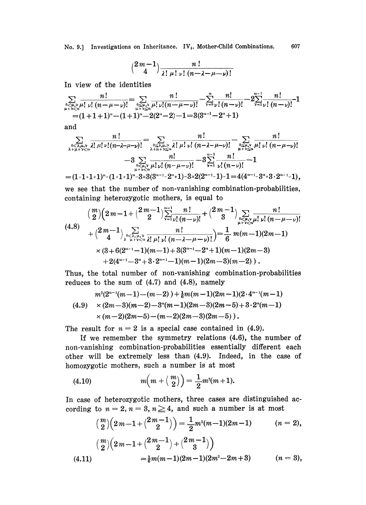No. 9.] Investigations on Inheritance.  $IV<sub>4</sub>$ . Mother-Child Combinations. 607

$$
\binom{2\,m-1}{4}\frac{n\,!}{\lambda!\,\mu!\,\nu!\,\left(n-\lambda-\mu-\nu\right)!}
$$

In view of the identities

$$
\sum_{\substack{0 \le \mu,\nu \\ \mu + \nu \le n}} \frac{n!}{\mu! \mu! \mu!} = \sum_{\substack{0 \le \mu,\nu \\ \mu + \nu \le n}} \frac{n!}{\mu! \mu! \mu! \mu! \mu!} = \sum_{\substack{0 \le \mu,\nu \\ \mu + \nu \le n}} \frac{n!}{\mu! \mu! \mu! \mu! \mu!} = \sum_{\substack{0 \le \mu, \\ \nu + \nu \le n}} \frac{n!}{\mu! \mu! \mu! \mu!} = 2 \sum_{\substack{0 \le \mu, \\ \nu + \nu \le n}} \frac{n!}{\mu! \mu!} = 2 \sum_{\substack{0 \le \mu, \\ \nu + \nu \le n}} \frac{n!}{\mu! \mu!} = 1
$$

and

$$
\sum_{\substack{0 \le \lambda,\mu,\nu \\ \lambda+\mu+\nu \le n}} \frac{n!}{\lambda! \mu! \nu! (n-\lambda-\mu-\nu)!} = \sum_{\substack{0 \le \lambda,\mu,\nu \\ \lambda+\mu+\nu \le n}} \frac{n!}{\lambda! \mu! \nu! (n-\lambda-\mu-\nu)!} - \sum_{\substack{0 \le \mu,\nu \\ \mu+\nu \le n}} \frac{n!}{\mu! \nu! (n-\lambda-\mu-\nu)!} - 3 \sum_{\substack{\nu=1 \\ \nu+\nu \le n}} \frac{n!}{\nu! (n-\nu)!} - 1
$$
  
=  $(1 \cdot 1 \cdot 1 \cdot 1)^n - (1 \cdot 1 \cdot 1)^n - 3 \times 3(3^{n-1} - 2^n \cdot 1) - 3 \times 2(2^{n-1} - 1) - 1 = 4(4^{n-1} - 3^n + 3 \cdot 2^{n-1} - 1),$ 

we see that the number of non-vanishing combination-probabilities, containing heterozygotic mothers, is equal to

$$
\binom{m}{2}\left(2m-1+\binom{2m-1}{2}\right)\sum_{\substack{\nu=1 \nu}}^{n-1} \frac{n!}{\nu!\binom{n-\nu}{2}!} + \binom{2m-1}{3}\sum_{\substack{\nu \in \mu, \nu \mu! \nu! \atop \mu+\nu & \nu \in n}} \frac{n!}{\nu!\binom{n-\mu-\nu)!}}{(n-\mu-\nu)!}
$$
\n
$$
+\binom{2m-1}{4}\sum_{\substack{\nu \in \lambda, \mu, \nu \text{ odd } \mu! \nu! \atop \mu+\nu & \nu \in n}} \frac{n!}{\nu!\binom{n-\lambda-\mu-\nu}{2}!} = \frac{1}{6}m(m-1)(2m-1)
$$
\n
$$
\times (3+6(2^{n-1}-1)(m-1)+3(3^{n-1}-2^n+1)(m-1)(2m-3) + 2(4^{n-1}-3^n+3\cdot 2^{n-1}-1)(m-1)(2m-3)(m-2)) .
$$

Thus, the total number of non-vanishing combination-probabilities reduces to the sum of  $(4.7)$  and  $(4.8)$ , namely

$$
m^{2}(2^{n-1}(m-1)-(m-2))+\frac{1}{6}m(m-1)(2m-1)(2\cdot 4^{n-1}(m-1))
$$
  
(4.9) 
$$
\times (2m-3)(m-2)-3^{n}(m-1)(2m-3)(2m-5)+3\cdot 2^{n}(m-1)
$$

$$
\times (m-2)(2m-5)-(m-2)(2m-3)(2m-5)).
$$

The result for  $n=2$  is a special case contained in (4.9).

If we remember the symmetry relations (4.6), the number of non-vanishing combination-probabilities essentially different each other will be extremely less than (4.9). Indeed, in the case of homozygotic mothers, such a number is at most

(4.10) 
$$
m(m + {m \choose 2}) = \frac{1}{2}m^2(m+1).
$$

In case of heterozygotic mothers, three cases are distinguished according to  $n=2, n=3, n\geq 4$ , and such a number is at most

$$
{m \choose 2} (2m-1+{2m-1 \choose 2}) = \frac{1}{2}m^2(m-1)(2m-1) \qquad (n = 2),
$$
  

$$
{m \choose 2} (2m-1+{2m-1 \choose 2}+{2m-1 \choose 3})
$$
  

$$
= \frac{1}{6}m(m-1)(2m-1)(2m^2-2m+3) \qquad (n = 3),
$$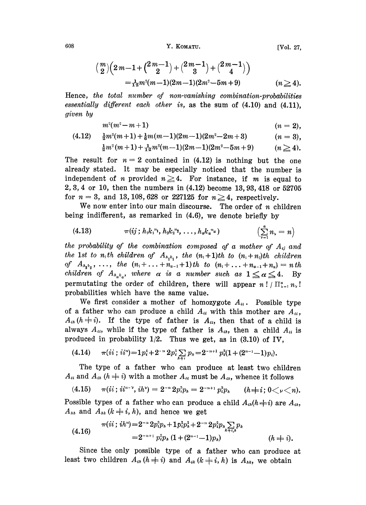608 Y. KOMATU. [Vol. 27,

$$
\begin{aligned} \left(\frac{m}{2}\right) \left(2m-1+\binom{2m-1}{2}+\binom{2m-1}{3}+\binom{2m-1}{4}\right) \\ =\tfrac{1}{12}m^2(m-1)(2m-1)(2m^2-5m+9) \qquad (n \geq 4). \end{aligned}
$$

Hence, the total number of non-vanishing combination-probabilities essentially different each other is, as the sum of  $(4.10)$  and  $(4.11)$ , given by

$$
m^2(m^2-m+1) \qquad \qquad (n=2),
$$

$$
(4.12) \quad \frac{1}{2}m^2(m+1) + \frac{1}{6}m(m-1)(2m-1)(2m^2-2m+3) \qquad (n = 3),
$$
  
\n
$$
\frac{1}{2}m^2(m+1) + \frac{1}{12}m^2(m-1)(2m-1)(2m^2-5m+9) \qquad (n \ge 4).
$$

$$
\frac{1}{2}m^2(m+1) + \frac{1}{12}m^2(m-1)(2m-1)(2m^2-5m+9) \qquad (n \ge 4).
$$

The result for  $n=2$  contained in (4.12) is nothing but the one already stated. It may be especially noticed that the number is independent of *n* provided  $n\geq 4$ . For instance, if *m* is equal to 2, 3, 4 or 10, then the numbers in (4.12) become 13, 93, 418 or 52705 for  $n=3$ , and 13, 108, 628 or 227125 for  $n \geq 4$ , respectively.

We now enter into our main discourse. The order of  $n$  children being indifferent, as remarked in (4.6), we denote briefly by

(4.13) 
$$
\pi(ij; h_1k_1^{n_1}, h_2k_2^{n_2}, \ldots, h_sk_a^{n_a}) \qquad \left(\sum_{\nu=1}^a n_{\nu} = n\right)
$$

the probability of the combination composed of a mother of  $A_{ij}$  and the 1st to  $n_1$ th children of  $A_{n_1k_1}$ , the  $(n_1+1)$ th to  $(n_1+n_2)$ th children of  $A_{h_2k_2}, \ldots,$  the  $(n_1+\ldots+n_{a-1}+1)$ th to  $(n_1+\ldots+n_{a-1}+n_a)=n$ th children of  $A_{h_a k_a}$ , where  $\alpha$  is a number such as  $1 \le \alpha \le 4$ . By permutating the order of children, there will appear  $n!/\prod_{\nu=1}^{\alpha} n_{\nu}!$ probabilities which have the same value.

We first consider a mother of homozygote  $A_{ii}$ . Possible type of a father who can produce a child  $A_{ii}$  with this mother are  $A_{ii}$ ,  $A_{ii}$  ( $h\neq i$ ). If the type of father is  $A_{ii}$ , then that of a child is always  $A_{ii}$ , while if the type of father is  $A_{ii}$ , then a child  $A_{ii}$  is produced in probability  $1/2$ . Thus we get, as in  $(3.10)$  of IV,

$$
(4.14) \qquad \pi(ii\,;\,ii^{n}) = 1\,p_i^1 + 2^{-n}\,2p_i^3 \sum_{k=1}^{n} p_k = 2^{-n+1}\,p_i^3(1 + (2^{n-1}-1)p_i).
$$

The type of a father who can produce at least two children  $A_{ii}$  and  $A_{ii}$  ( $h \neq i$ ) with a mother  $A_{ii}$  must be  $A_{ii}$ , whence it follows

(4.15) 
$$
\pi(ii; ii^{n-\nu}, ih^{\nu}) = 2^{-n} 2p_i^3 p_h = 2^{-n+1} p_i^3 p_h \qquad (h \neq i; 0 \lt \nu \lt n).
$$

Possible types of a father who can produce a child  $A_{ii}(h\neq i)$  are  $A_{ii}$ ,  $A_{hk}$  and  $A_{hk}$   $(k \neq i, h)$ , and hence we get

(4.16) (h == i).

Since the only possible type of a father who can produce at least two children  $A_{ik}$   $(h \neq i)$  and  $A_{ik}$   $(k \neq i, h)$  is  $A_{ik}$ , we obtain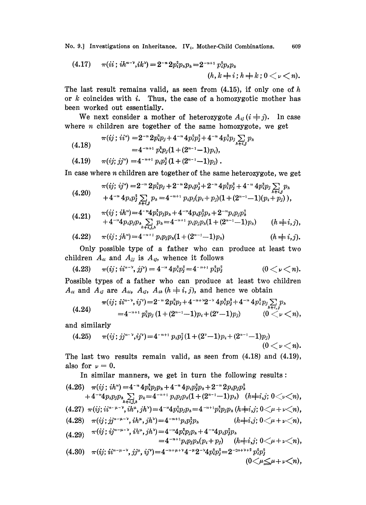No. 9.] Investigations on Inheritance.  $IV<sub>4</sub>$ . Mother-Child Combinations. 609

(4.17) 
$$
\pi(ii; ih^{n-\nu}, ik^{\nu}) = 2^{-n} 2p_i^2 p_{\nu} p_k = 2^{-n+1} p_i^2 p_{\nu} p_k (h, k \neq i; h \neq k; 0 < \nu < n).
$$

The last result remains valid, as seen from  $(4.15)$ , if only one of h or  $k$  coincides with  $i$ . Thus, the case of a homozygotic mother has been worked out essentially.

We next consider a mother of heterozygote  $A_{ij}$  ( $i \neq j$ ). In case where  $n$  children are together of the same homozygote, we get

$$
\pi(ij; i i^{n}) = 2^{-n} 2p_{i}^{3} p_{j} + 4^{-n} 4p_{i}^{2} p_{j}^{2} + 4^{-n} 4p_{i}^{2} p_{j} \sum_{h \neq i,j} p_{h}
$$
  
\n
$$
= 4^{-n+1} p_{i}^{3} p_{j} (1 + (2^{n-1} - 1) p_{i}),
$$
  
\n
$$
(4.19) \qquad \pi(ij; j j^{n}) = 4^{-n+1} p_{i} p_{j}^{2} (1 + (2^{n-1} - 1) p_{j}).
$$

In case where n children are together of the same heterozygote, we get

$$
\pi(ij; ij^{n}) = 2^{-n} 2p_i^{3} p_j + 2^{-n} 2p_i p_j^{3} + 2^{-n} 4p_i^{3} p_j^{3} + 4^{-n} 4p_i^{3} p_j \sum_{h+i,j} p_h
$$
  
+4^{-n} 4p\_i p\_j^{3} \sum\_{h+i,j} p\_h = 4^{-n+1} p\_i p\_j (p\_i + p\_j) (1 + (2^{n-1} - 1)(p\_i + p\_j)),

$$
(4.21) \quad \pi(ij;ih^n) = 4^{-n} 4 p_i^2 p_j p_h + 4^{-n} 4 p_i p_j^2 p_h + 2^{-n} p_i p_j p_h^2 + 4^{-n} 4 p_i p_j p_h p_h + 2^{-n} p_i p_j p_h (1 + (2^{n-1} - 1) p_h) \quad (h \neq i, j),
$$

(4.22) 
$$
\pi(ij; jh^{n}) = 4^{-n+1} p_{i} p_{j} p_{h} (1 + (2^{n-1} - 1) p_{h}) \qquad (h \neq i, j).
$$

Only possible type of a father who can produce at least two children  $A_{ii}$  and  $A_{jj}$  is  $A_{ij}$ , whence it follows

$$
(4.23) \t\t \pi(ij; i i^{n-\nu}, j j^{\nu}) = 4^{-n} 4 p_i^2 p_j^2 = 4^{-n+1} p_i^2 p_j^2 \t\t (0 < \nu < n).
$$

Possible types of a father who can produce at least two children  $A_{ii}$  and  $A_{ij}$  are  $A_{ii}$ ,  $A_{ij}$ ,  $A_{ih}$   $(h \neq i, j)$ , and hence we obtain

$$
\pi(i j; i i^{n-\nu}, i j^{\nu}) = 2^{-n} 2 p_i^3 p_j + 4^{-n+\nu} 2^{-\nu} 4 p_i^2 p_j^2 + 4^{-n} 4 p_i^2 p_j \sum_{h+i,j} p_h
$$
  
= 4^{-n+1} p\_i^2 p\_j (1 + (2^{n-1}-1) p\_i + (2^{\nu}-1) p\_j) \t\t\t(0 < \nu < n),

and similarly

(4.25) (9; JJ"- ,q)=4-'+' P,P] (1 + (2--1)p, + (2"-'--1)p) (o<<n).

The last two results remain valid, as seen from (4.18) and (4.19), also for  $\nu = 0$ .

In similar manners, we get in turn the following results:

(4.26) (9; ih') =4-" 4p[pp, + 4-" 4p,p]p, + <sup>2</sup> 2p,pp + 4-'4p{PP, (4.27) (9; ii"- =4 4p{pp, =4 -, ih, jh) + p{pp, (hi,j; 0<g + r<n) (4.28) (9, -, p,pip (hi,j; 0<+ r<n), 4p{pjp, (4.29) v(9 =4-'p,pp,(p{ +p) (hi,j; 0<+ r<n), (4.30) v(ij; ii (o<,,+ <n),